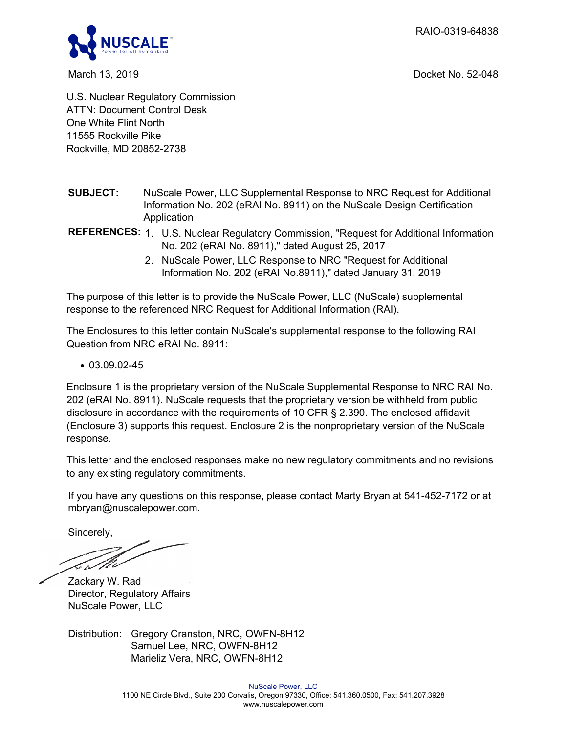RAIO-0319-64838



March 13, 2019 Docket No. 52-048

U.S. Nuclear Regulatory Commission ATTN: Document Control Desk One White Flint North 11555 Rockville Pike Rockville, MD 20852-2738

- **SUBJECT:** NuScale Power, LLC Supplemental Response to NRC Request for Additional Information No. 202 (eRAI No. 8911) on the NuScale Design Certification Application
- **REFERENCES:** 1. U.S. Nuclear Regulatory Commission, "Request for Additional Information No. 202 (eRAI No. 8911)," dated August 25, 2017
	- 2. NuScale Power, LLC Response to NRC "Request for Additional Information No. 202 (eRAI No.8911)," dated January 31, 2019

The purpose of this letter is to provide the NuScale Power, LLC (NuScale) supplemental response to the referenced NRC Request for Additional Information (RAI).

The Enclosures to this letter contain NuScale's supplemental response to the following RAI Question from NRC eRAI No. 8911:

 $\cdot$  03.09.02-45

Enclosure 1 is the proprietary version of the NuScale Supplemental Response to NRC RAI No. 202 (eRAI No. 8911). NuScale requests that the proprietary version be withheld from public disclosure in accordance with the requirements of 10 CFR § 2.390. The enclosed affidavit (Enclosure 3) supports this request. Enclosure 2 is the nonproprietary version of the NuScale response.

This letter and the enclosed responses make no new regulatory commitments and no revisions to any existing regulatory commitments.

If you have any questions on this response, please contact Marty Bryan at 541-452-7172 or at mbryan@nuscalepower.com.

Sincerely,

*kr/10* 

Zackary W. Rad Director, Regulatory Affairs NuScale Power, LLC

Distribution: Gregory Cranston, NRC, OWFN-8H12 Samuel Lee, NRC, OWFN-8H12 Marieliz Vera, NRC, OWFN-8H12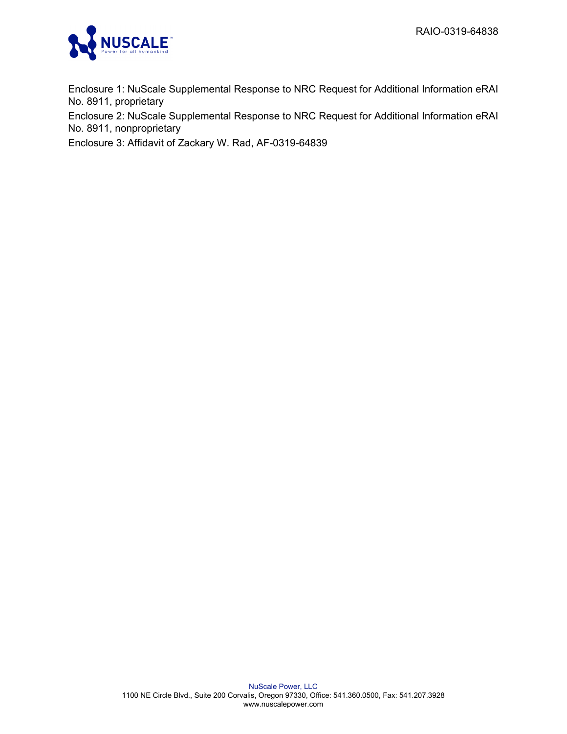

Enclosure 1: NuScale Supplemental Response to NRC Request for Additional Information eRAI No. 8911, proprietary

Enclosure 2: NuScale Supplemental Response to NRC Request for Additional Information eRAI No. 8911, nonproprietary

Enclosure 3: Affidavit of Zackary W. Rad, AF-0319-64839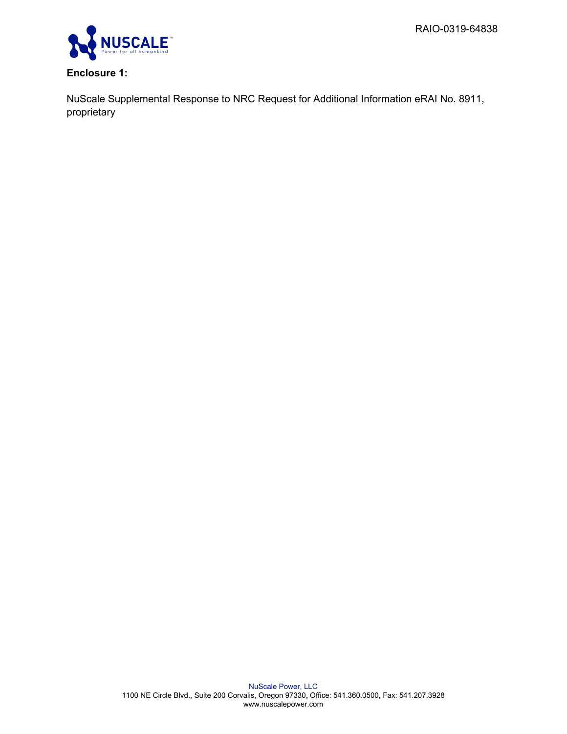

# **Enclosure 1:**

NuScale Supplemental Response to NRC Request for Additional Information eRAI No. 8911, proprietary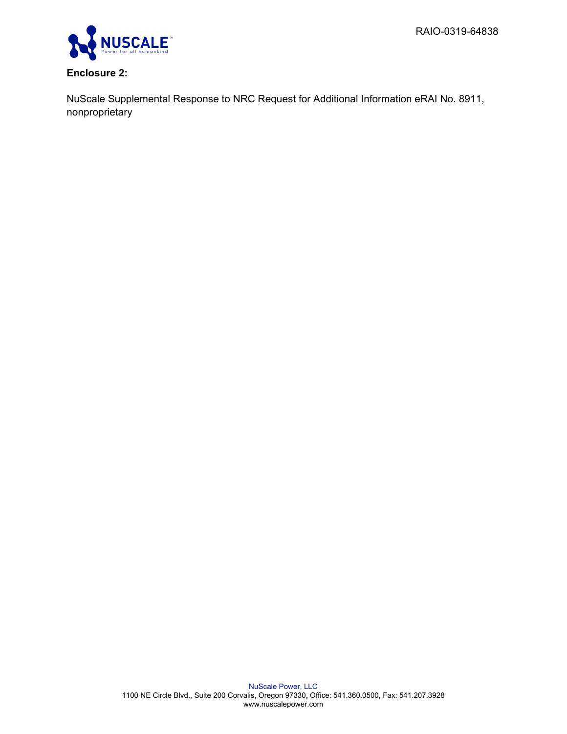

## **Enclosure 2:**

NuScale Supplemental Response to NRC Request for Additional Information eRAI No. 8911, nonproprietary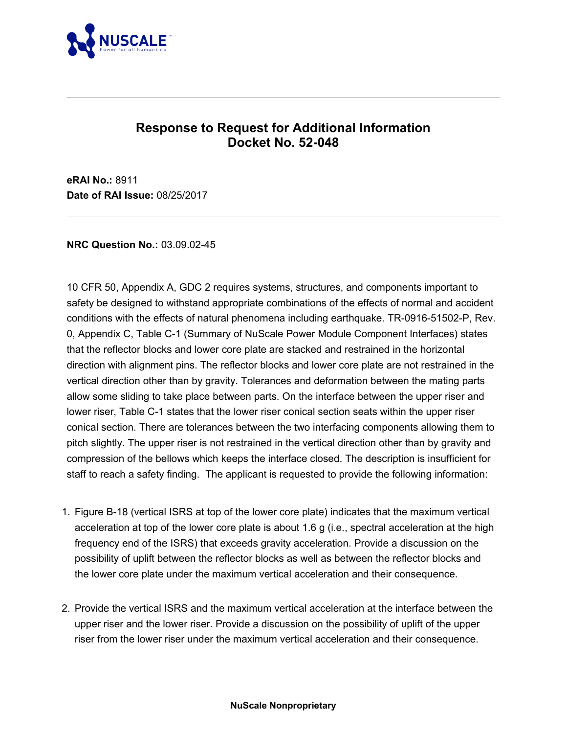

# **Response to Request for Additional Information Docket No. 52-048**

**eRAI No.:** 8911 **Date of RAI Issue:** 08/25/2017

## **NRC Question No.:** 03.09.02-45

10 CFR 50, Appendix A, GDC 2 requires systems, structures, and components important to safety be designed to withstand appropriate combinations of the effects of normal and accident conditions with the effects of natural phenomena including earthquake. TR-0916-51502-P, Rev. 0, Appendix C, Table C-1 (Summary of NuScale Power Module Component Interfaces) states that the reflector blocks and lower core plate are stacked and restrained in the horizontal direction with alignment pins. The reflector blocks and lower core plate are not restrained in the vertical direction other than by gravity. Tolerances and deformation between the mating parts allow some sliding to take place between parts. On the interface between the upper riser and lower riser, Table C-1 states that the lower riser conical section seats within the upper riser conical section. There are tolerances between the two interfacing components allowing them to pitch slightly. The upper riser is not restrained in the vertical direction other than by gravity and compression of the bellows which keeps the interface closed. The description is insufficient for staff to reach a safety finding. The applicant is requested to provide the following information:

- 1. Figure B-18 (vertical ISRS at top of the lower core plate) indicates that the maximum vertical acceleration at top of the lower core plate is about 1.6 g (i.e., spectral acceleration at the high frequency end of the ISRS) that exceeds gravity acceleration. Provide a discussion on the possibility of uplift between the reflector blocks as well as between the reflector blocks and the lower core plate under the maximum vertical acceleration and their consequence.
- 2. Provide the vertical ISRS and the maximum vertical acceleration at the interface between the upper riser and the lower riser. Provide a discussion on the possibility of uplift of the upper riser from the lower riser under the maximum vertical acceleration and their consequence.

#### **NuScale Nonproprietary**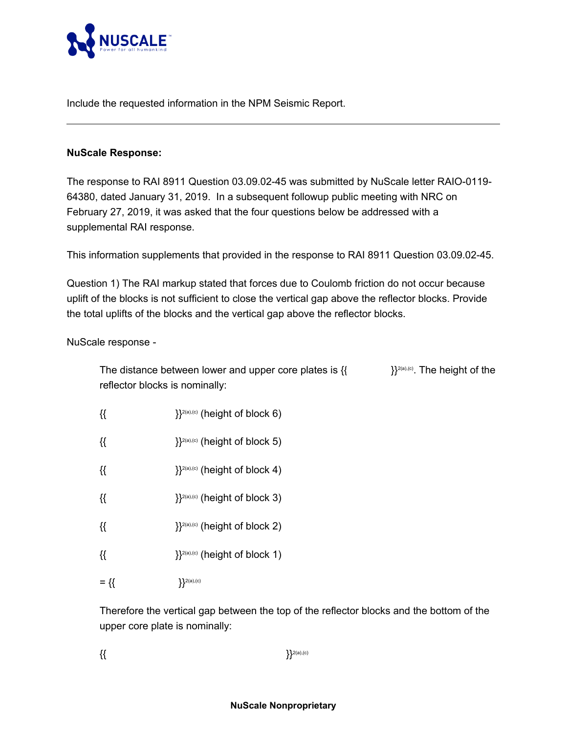

Include the requested information in the NPM Seismic Report.

## **NuScale Response:**

The response to RAI 8911 Question 03.09.02-45 was submitted by NuScale letter RAIO-0119- 64380, dated January 31, 2019. In a subsequent followup public meeting with NRC on February 27, 2019, it was asked that the four questions below be addressed with a supplemental RAI response.

This information supplements that provided in the response to RAI 8911 Question 03.09.02-45.

Question 1) The RAI markup stated that forces due to Coulomb friction do not occur because uplift of the blocks is not sufficient to close the vertical gap above the reflector blocks. Provide the total uplifts of the blocks and the vertical gap above the reflector blocks.

NuScale response -

The distance between lower and upper core plates is  $\{ \}$   $\}^{2(a),(c)}$ . The height of the reflector blocks is nominally:

- $\{\{\}$   $\}$ <sup>2(a),(c)</sup> (height of block 6)
- $\{ \}$ <sup>2(a),(c)</sup> (height of block 5)
- { ${ }$ {{  ${}$ }}<sup>2(a),(c)</sup> (height of block 4)
- $\{\{\}$   $\}$ <sup>2(a),(c)</sup> (height of block 3)
- $\{\{\}$   $\}^{2(a),(c)}$  (height of block 2)
- $\{\{\}$   $\}$ <sup>2(a),(c)</sup> (height of block 1)
- $=\{\}\$

Therefore the vertical gap between the top of the reflector blocks and the bottom of the upper core plate is nominally:

 $\{\{\}$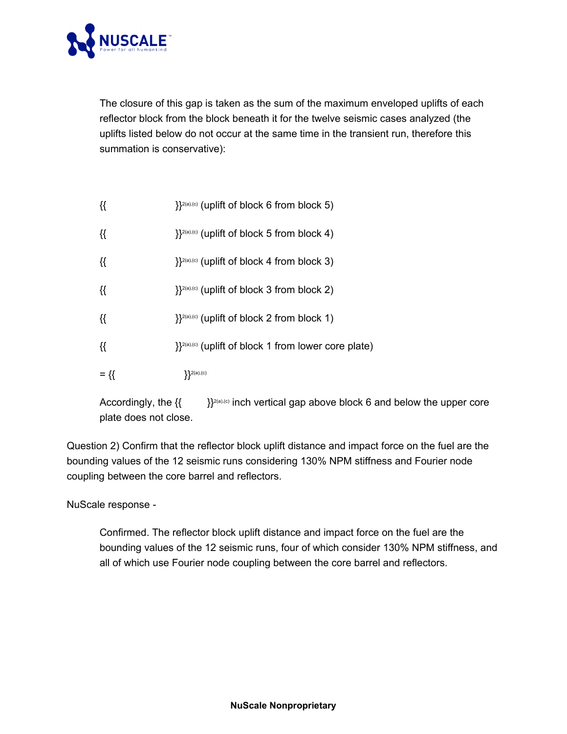

The closure of this gap is taken as the sum of the maximum enveloped uplifts of each reflector block from the block beneath it for the twelve seismic cases analyzed (the uplifts listed below do not occur at the same time in the transient run, therefore this summation is conservative):

| {{     | $\}$ <sup>2(a),(c)</sup> (uplift of block 5 from block 4)        |
|--------|------------------------------------------------------------------|
| {{     | }} <sup>2(a)</sup> ,(c) (uplift of block 4 from block 3)         |
| {{     | }} <sup>2(a)</sup> ,(c) (uplift of block 3 from block 2)         |
| {{     | $\}$ <sup>2(a),(c)</sup> (uplift of block 2 from block 1)        |
| {{     | }} <sup>2(a),(c)</sup> (uplift of block 1 from lower core plate) |
| $= \{$ | $\{2(a), (c)\}$                                                  |

 $\{ \}$   $\}$ <sup>2(a),(c)</sup> (uplift of block 6 from block 5)

Accordingly, the  $\{ \}$   $\}$ <sup>2(a),(c)</sup> inch vertical gap above block 6 and below the upper core plate does not close.

Question 2) Confirm that the reflector block uplift distance and impact force on the fuel are the bounding values of the 12 seismic runs considering 130% NPM stiffness and Fourier node coupling between the core barrel and reflectors.

NuScale response -

Confirmed. The reflector block uplift distance and impact force on the fuel are the bounding values of the 12 seismic runs, four of which consider 130% NPM stiffness, and all of which use Fourier node coupling between the core barrel and reflectors.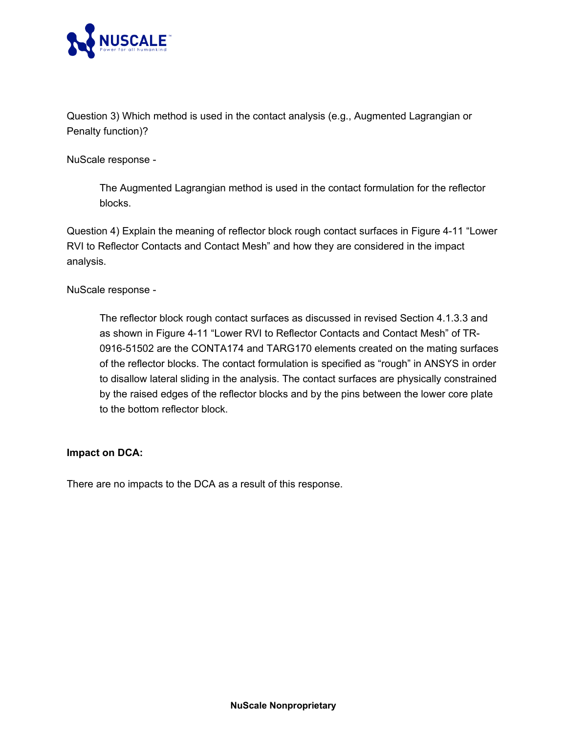

Question 3) Which method is used in the contact analysis (e.g., Augmented Lagrangian or Penalty function)?

NuScale response -

The Augmented Lagrangian method is used in the contact formulation for the reflector blocks.

Question 4) Explain the meaning of reflector block rough contact surfaces in Figure 4-11 "Lower RVI to Reflector Contacts and Contact Mesh" and how they are considered in the impact analysis.

NuScale response -

The reflector block rough contact surfaces as discussed in revised Section 4.1.3.3 and as shown in Figure 4-11 "Lower RVI to Reflector Contacts and Contact Mesh" of TR-0916-51502 are the CONTA174 and TARG170 elements created on the mating surfaces of the reflector blocks. The contact formulation is specified as "rough" in ANSYS in order to disallow lateral sliding in the analysis. The contact surfaces are physically constrained by the raised edges of the reflector blocks and by the pins between the lower core plate to the bottom reflector block.

## **Impact on DCA:**

There are no impacts to the DCA as a result of this response.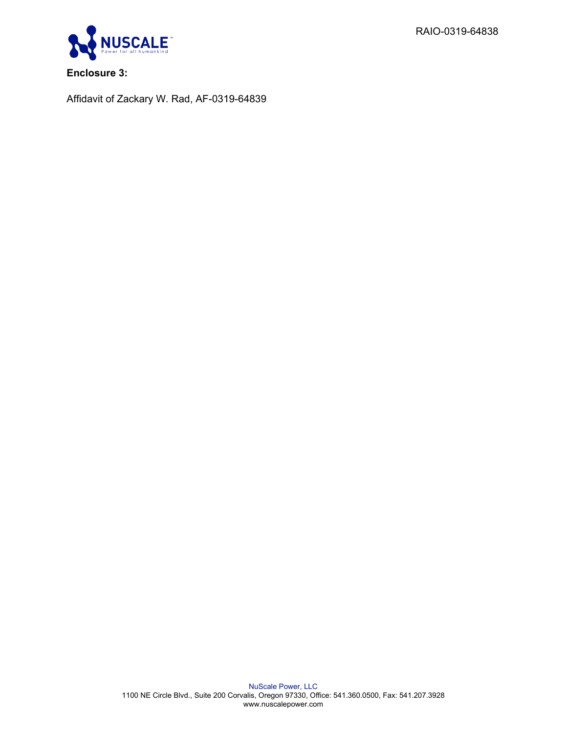RAIO-0319-64838



**Enclosure 3:**

Affidavit of Zackary W. Rad, AF-0319-64839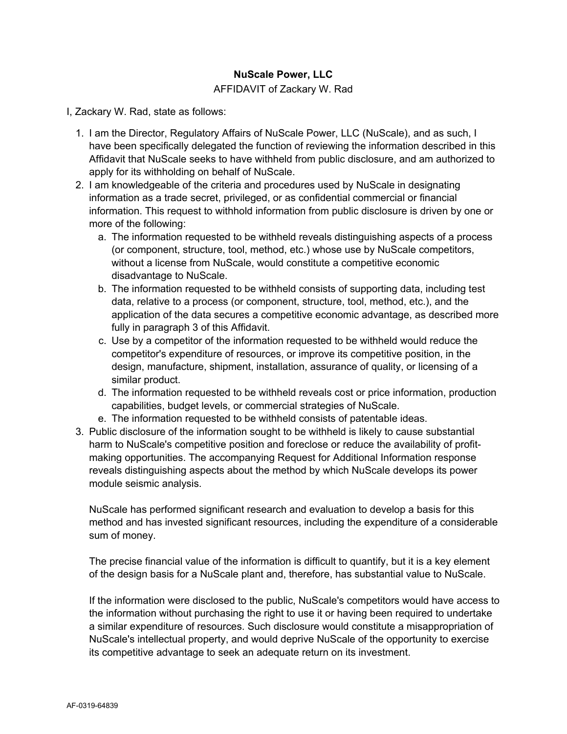## **NuScale Power, LLC**

### AFFIDAVIT of Zackary W. Rad

I, Zackary W. Rad, state as follows:

- 1. I am the Director, Regulatory Affairs of NuScale Power, LLC (NuScale), and as such, I have been specifically delegated the function of reviewing the information described in this Affidavit that NuScale seeks to have withheld from public disclosure, and am authorized to apply for its withholding on behalf of NuScale.
- 2. I am knowledgeable of the criteria and procedures used by NuScale in designating information as a trade secret, privileged, or as confidential commercial or financial information. This request to withhold information from public disclosure is driven by one or more of the following:
	- a. The information requested to be withheld reveals distinguishing aspects of a process (or component, structure, tool, method, etc.) whose use by NuScale competitors, without a license from NuScale, would constitute a competitive economic disadvantage to NuScale.
	- b. The information requested to be withheld consists of supporting data, including test data, relative to a process (or component, structure, tool, method, etc.), and the application of the data secures a competitive economic advantage, as described more fully in paragraph 3 of this Affidavit.
	- c. Use by a competitor of the information requested to be withheld would reduce the competitor's expenditure of resources, or improve its competitive position, in the design, manufacture, shipment, installation, assurance of quality, or licensing of a similar product.
	- d. The information requested to be withheld reveals cost or price information, production capabilities, budget levels, or commercial strategies of NuScale.
	- e. The information requested to be withheld consists of patentable ideas.
- 3. Public disclosure of the information sought to be withheld is likely to cause substantial harm to NuScale's competitive position and foreclose or reduce the availability of profitmaking opportunities. The accompanying Request for Additional Information response reveals distinguishing aspects about the method by which NuScale develops its power module seismic analysis.

NuScale has performed significant research and evaluation to develop a basis for this method and has invested significant resources, including the expenditure of a considerable sum of money.

The precise financial value of the information is difficult to quantify, but it is a key element of the design basis for a NuScale plant and, therefore, has substantial value to NuScale.

If the information were disclosed to the public, NuScale's competitors would have access to the information without purchasing the right to use it or having been required to undertake a similar expenditure of resources. Such disclosure would constitute a misappropriation of NuScale's intellectual property, and would deprive NuScale of the opportunity to exercise its competitive advantage to seek an adequate return on its investment.